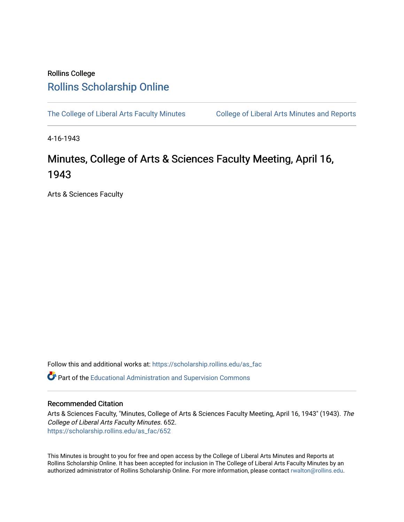## Rollins College [Rollins Scholarship Online](https://scholarship.rollins.edu/)

[The College of Liberal Arts Faculty Minutes](https://scholarship.rollins.edu/as_fac) College of Liberal Arts Minutes and Reports

4-16-1943

## Minutes, College of Arts & Sciences Faculty Meeting, April 16, 1943

Arts & Sciences Faculty

Follow this and additional works at: [https://scholarship.rollins.edu/as\\_fac](https://scholarship.rollins.edu/as_fac?utm_source=scholarship.rollins.edu%2Fas_fac%2F652&utm_medium=PDF&utm_campaign=PDFCoverPages) 

**P** Part of the [Educational Administration and Supervision Commons](http://network.bepress.com/hgg/discipline/787?utm_source=scholarship.rollins.edu%2Fas_fac%2F652&utm_medium=PDF&utm_campaign=PDFCoverPages)

## Recommended Citation

Arts & Sciences Faculty, "Minutes, College of Arts & Sciences Faculty Meeting, April 16, 1943" (1943). The College of Liberal Arts Faculty Minutes. 652. [https://scholarship.rollins.edu/as\\_fac/652](https://scholarship.rollins.edu/as_fac/652?utm_source=scholarship.rollins.edu%2Fas_fac%2F652&utm_medium=PDF&utm_campaign=PDFCoverPages) 

This Minutes is brought to you for free and open access by the College of Liberal Arts Minutes and Reports at Rollins Scholarship Online. It has been accepted for inclusion in The College of Liberal Arts Faculty Minutes by an authorized administrator of Rollins Scholarship Online. For more information, please contact [rwalton@rollins.edu](mailto:rwalton@rollins.edu).